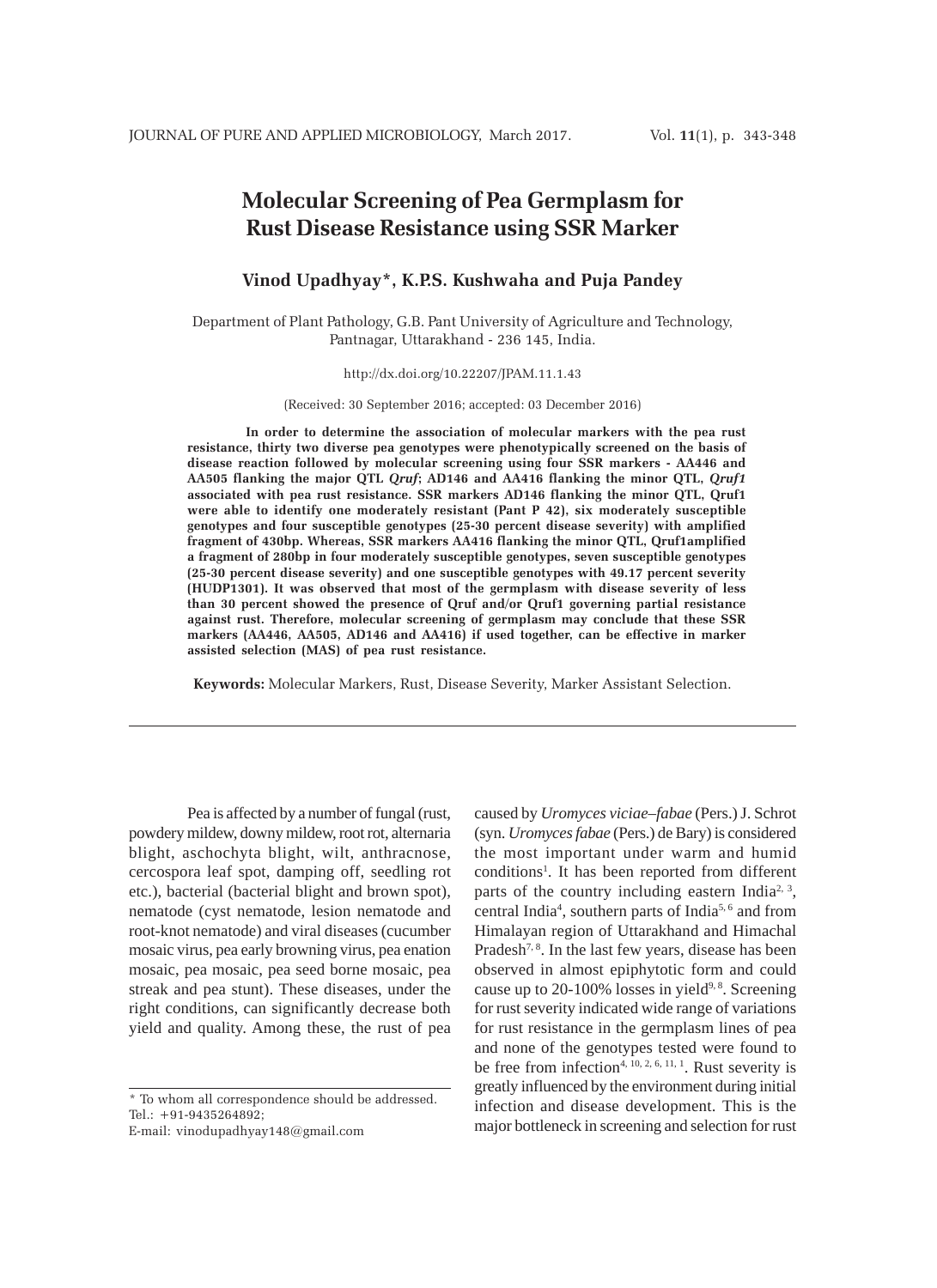# **Molecular Screening of Pea Germplasm for Rust Disease Resistance using SSR Marker**

# **Vinod Upadhyay\*, K.P.S. Kushwaha and Puja Pandey**

Department of Plant Pathology, G.B. Pant University of Agriculture and Technology, Pantnagar, Uttarakhand - 236 145, India.

## http://dx.doi.org/10.22207/JPAM.11.1.43

(Received: 30 September 2016; accepted: 03 December 2016)

**In order to determine the association of molecular markers with the pea rust resistance, thirty two diverse pea genotypes were phenotypically screened on the basis of disease reaction followed by molecular screening using four SSR markers - AA446 and AA505 flanking the major QTL** *Qruf***; AD146 and AA416 flanking the minor QTL,** *Qruf1* **associated with pea rust resistance. SSR markers AD146 flanking the minor QTL, Qruf1 were able to identify one moderately resistant (Pant P 42), six moderately susceptible genotypes and four susceptible genotypes (25-30 percent disease severity) with amplified fragment of 430bp. Whereas, SSR markers AA416 flanking the minor QTL, Qruf1amplified a fragment of 280bp in four moderately susceptible genotypes, seven susceptible genotypes (25-30 percent disease severity) and one susceptible genotypes with 49.17 percent severity (HUDP1301). It was observed that most of the germplasm with disease severity of less than 30 percent showed the presence of Qruf and/or Qruf1 governing partial resistance against rust. Therefore, molecular screening of germplasm may conclude that these SSR markers (AA446, AA505, AD146 and AA416) if used together, can be effective in marker assisted selection (MAS) of pea rust resistance.**

**Keywords:** Molecular Markers, Rust, Disease Severity, Marker Assistant Selection.

Pea is affected by a number of fungal (rust, powdery mildew, downy mildew, root rot, alternaria blight, aschochyta blight, wilt, anthracnose, cercospora leaf spot, damping off, seedling rot etc.), bacterial (bacterial blight and brown spot), nematode (cyst nematode, lesion nematode and root-knot nematode) and viral diseases (cucumber mosaic virus, pea early browning virus, pea enation mosaic, pea mosaic, pea seed borne mosaic, pea streak and pea stunt). These diseases, under the right conditions, can significantly decrease both yield and quality. Among these, the rust of pea

\* To whom all correspondence should be addressed. Tel.: +91-9435264892;

E-mail: vinodupadhyay148@gmail.com

caused by *Uromyces viciae–fabae* (Pers.) J. Schrot (syn. *Uromyces fabae* (Pers.) de Bary) is considered the most important under warm and humid conditions<sup>1</sup>. It has been reported from different parts of the country including eastern India<sup>2, 3</sup>, central India4 , southern parts of India5, 6 and from Himalayan region of Uttarakhand and Himachal Pradesh<sup>7, 8</sup>. In the last few years, disease has been observed in almost epiphytotic form and could cause up to  $20-100\%$  losses in yield<sup>9,8</sup>. Screening for rust severity indicated wide range of variations for rust resistance in the germplasm lines of pea and none of the genotypes tested were found to be free from infection<sup>4, 10, 2, 6, 11, 1</sup>. Rust severity is greatly influenced by the environment during initial infection and disease development. This is the major bottleneck in screening and selection for rust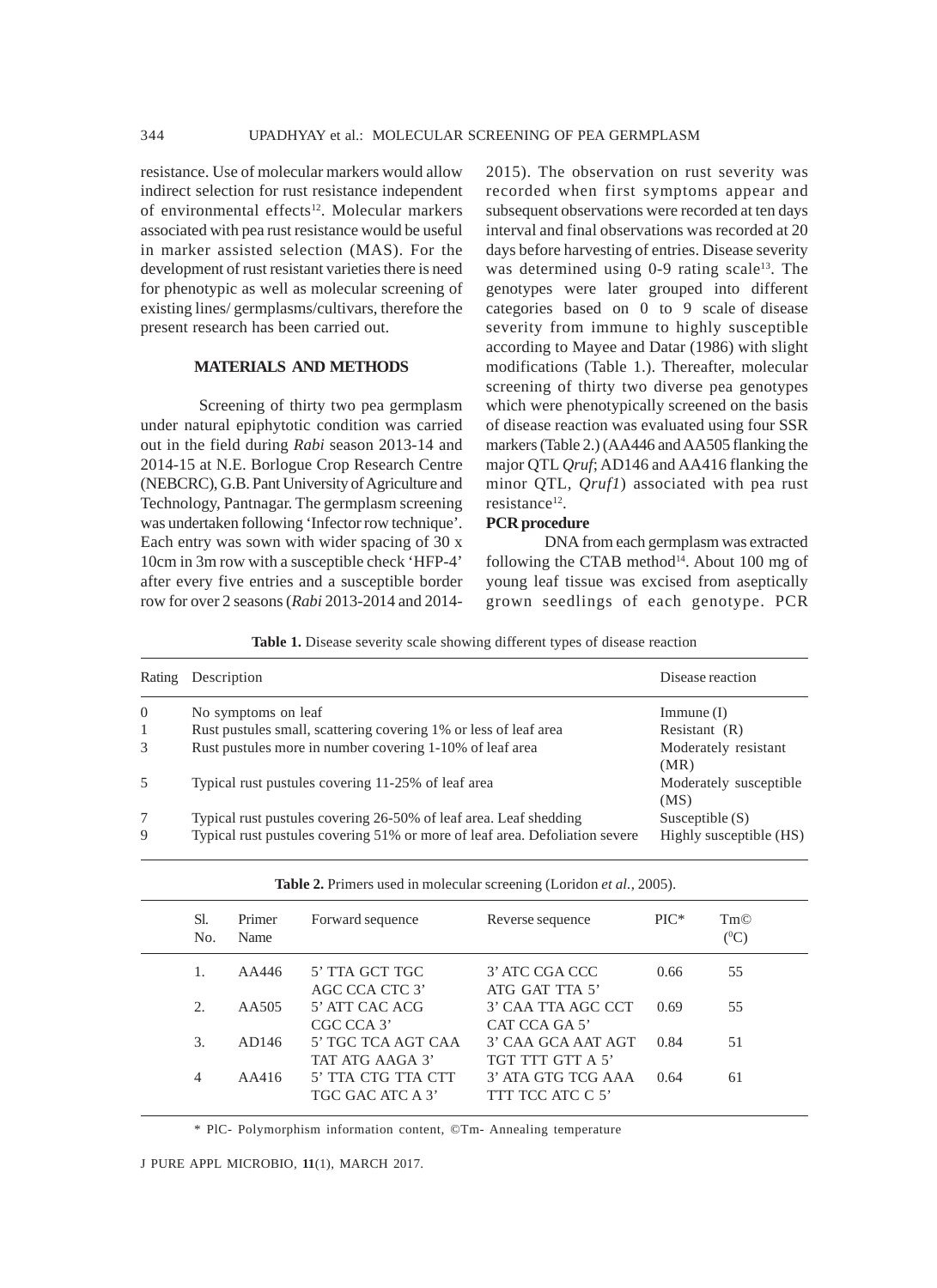resistance. Use of molecular markers would allow indirect selection for rust resistance independent of environmental effects<sup>12</sup>. Molecular markers associated with pea rust resistance would be useful in marker assisted selection (MAS). For the development of rust resistant varieties there is need for phenotypic as well as molecular screening of existing lines/ germplasms/cultivars, therefore the present research has been carried out.

# **MATERIALS AND METHODS**

Screening of thirty two pea germplasm under natural epiphytotic condition was carried out in the field during *Rabi* season 2013-14 and 2014-15 at N.E. Borlogue Crop Research Centre (NEBCRC), G.B. Pant University of Agriculture and Technology, Pantnagar. The germplasm screening was undertaken following 'Infector row technique'. Each entry was sown with wider spacing of 30 x 10cm in 3m row with a susceptible check 'HFP-4' after every five entries and a susceptible border row for over 2 seasons (*Rabi* 2013-2014 and 20142015). The observation on rust severity was recorded when first symptoms appear and subsequent observations were recorded at ten days interval and final observations was recorded at 20 days before harvesting of entries. Disease severity was determined using 0-9 rating scale<sup>13</sup>. The genotypes were later grouped into different categories based on 0 to 9 scale of disease severity from immune to highly susceptible according to Mayee and Datar (1986) with slight modifications (Table 1.). Thereafter, molecular screening of thirty two diverse pea genotypes which were phenotypically screened on the basis of disease reaction was evaluated using four SSR markers (Table 2.) (AA446 and AA505 flanking the major QTL *Qruf*; AD146 and AA416 flanking the minor QTL, *Qruf1*) associated with pea rust resistance<sup>12</sup>.

#### **PCR procedure**

DNA from each germplasm was extracted following the CTAB method $14$ . About 100 mg of young leaf tissue was excised from aseptically grown seedlings of each genotype. PCR

**Table 1.** Disease severity scale showing different types of disease reaction

|          | Rating Description                                                          | Disease reaction               |
|----------|-----------------------------------------------------------------------------|--------------------------------|
| $\Omega$ | No symptoms on leaf                                                         | Immune(I)                      |
| 1        | Rust pustules small, scattering covering 1% or less of leaf area            | Resistant $(R)$                |
| 3        | Rust pustules more in number covering 1-10% of leaf area                    | Moderately resistant<br>(MR)   |
| 5        | Typical rust pustules covering 11-25% of leaf area                          | Moderately susceptible<br>(MS) |
| 7        | Typical rust pustules covering 26-50% of leaf area. Leaf shedding           | Susceptible $(S)$              |
| 9        | Typical rust pustules covering 51% or more of leaf area. Defoliation severe | Highly susceptible (HS)        |

**Table 2.** Primers used in molecular screening (Loridon *et al.*, 2005).

| Sl.<br>N <sub>0</sub>  | Primer<br>Name | Forward sequence                       | Reverse sequence                       | $\rm PIC^*$ | Tm©<br>$(^{0}C)$ |
|------------------------|----------------|----------------------------------------|----------------------------------------|-------------|------------------|
|                        | AA446          | 5' TTA GCT TGC<br>AGC CCA CTC 3'       | 3' ATC CGA CCC<br>ATG GAT TTA 5'       | 0.66        | 55               |
| $\mathcal{D}_{\alpha}$ | AA505          | 5' ATT CAC ACG<br>CGC CCA 3'           | 3' CAA TTA AGC CCT<br>CAT CCA GA 5'    | 0.69        | 55               |
| 3.                     | AD146          | 5' TGC TCA AGT CAA<br>TAT ATG AAGA 3'  | 3' CAA GCA AAT AGT<br>TGT TTT GTT A 5' | 0.84        | 51               |
| 4                      | AA416          | 5' TTA CTG TTA CTT<br>TGC GAC ATC A 3' | 3' ATA GTG TCG AAA<br>TTT TCC ATC C 5' | 0.64        | 61               |

\* PlC- Polymorphism information content, ©Tm- Annealing temperature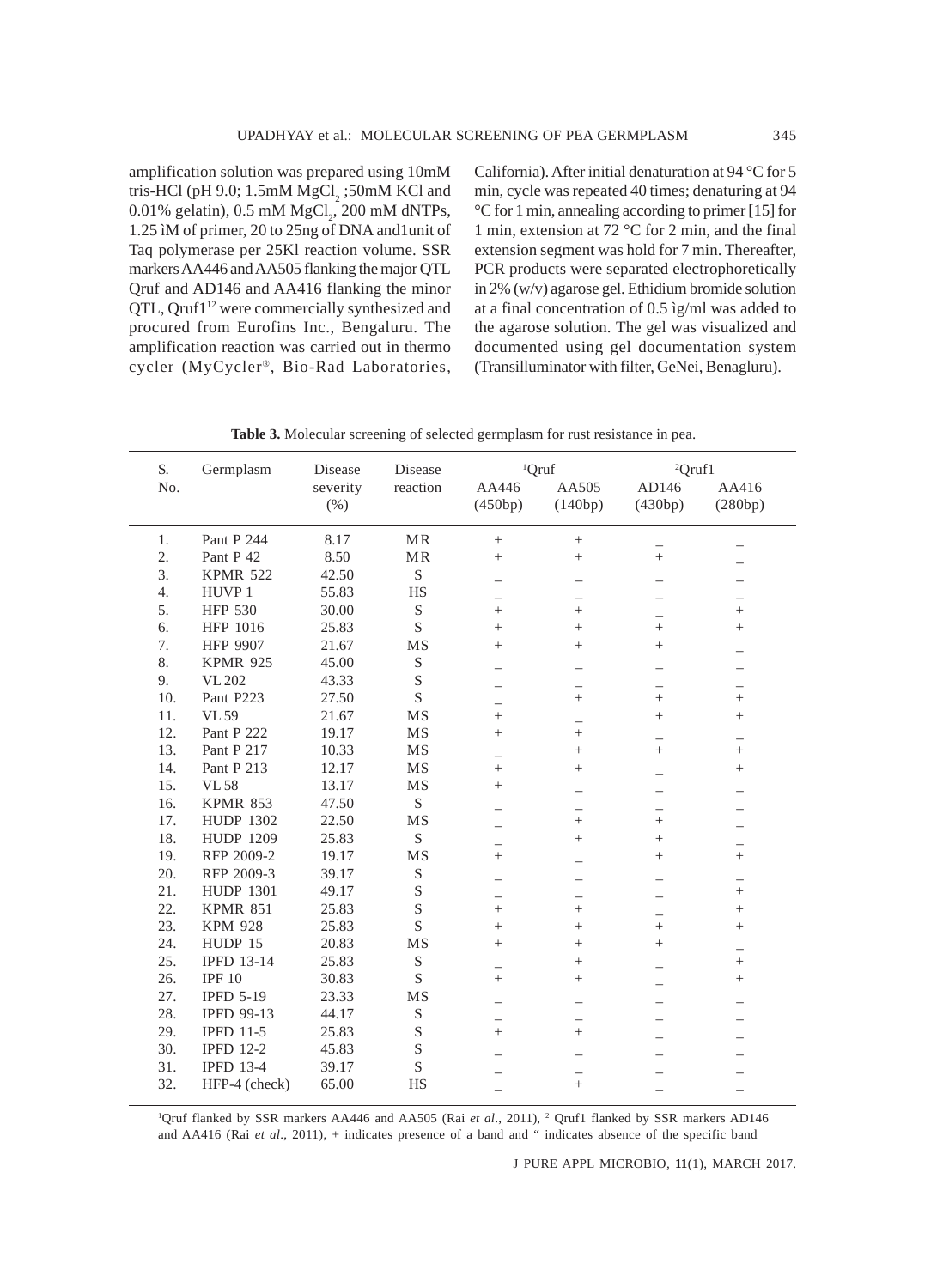amplification solution was prepared using 10mM tris-HCl (pH 9.0;  $1.5 \text{mM}$  MgCl<sub>2</sub>;50mM KCl and  $0.01\%$  gelatin),  $0.5 \text{ mM MgCl}_2$ ,  $200 \text{ mM dNTPs}$ , 1.25 ìM of primer, 20 to 25ng of DNA and1unit of Taq polymerase per 25Kl reaction volume. SSR markers AA446 and AA505 flanking the major QTL Qruf and AD146 and AA416 flanking the minor QTL, Qruf1<sup>12</sup> were commercially synthesized and procured from Eurofins Inc., Bengaluru. The amplification reaction was carried out in thermo cycler (MyCycler®, Bio-Rad Laboratories, California). After initial denaturation at 94 °C for 5 min, cycle was repeated 40 times; denaturing at 94 °C for 1 min, annealing according to primer [15] for 1 min, extension at 72 °C for 2 min, and the final extension segment was hold for 7 min. Thereafter, PCR products were separated electrophoretically in 2% (w/v) agarose gel. Ethidium bromide solution at a final concentration of 0.5 ìg/ml was added to the agarose solution. The gel was visualized and documented using gel documentation system (Transilluminator with filter, GeNei, Benagluru).

| S.  | Germplasm         | Disease  | Disease     | <sup>1</sup> Qruf                  |                 | <sup>2</sup> Qruf1 |                 |  |
|-----|-------------------|----------|-------------|------------------------------------|-----------------|--------------------|-----------------|--|
| No. |                   | severity | reaction    | AA446                              | AA505           | AD146              | AA416           |  |
|     |                   | $(\%)$   |             | (450bp)                            | (140bp)         | (430bp)            | (280bp)         |  |
|     |                   |          |             |                                    |                 |                    |                 |  |
| 1.  | Pant P 244        | 8.17     | MR          | $+$                                | $\! + \!\!\!\!$ |                    |                 |  |
| 2.  | Pant P 42         | 8.50     | MR          | $^{+}$                             | $^{+}$          | $+$                |                 |  |
| 3.  | <b>KPMR 522</b>   | 42.50    | $\mathbf S$ |                                    |                 |                    |                 |  |
| 4.  | HUVP <sub>1</sub> | 55.83    | HS          |                                    |                 |                    |                 |  |
| 5.  | <b>HFP 530</b>    | 30.00    | $\mathbf S$ | $^{+}$                             | $^{+}$          |                    | $^{+}$          |  |
| 6.  | HFP 1016          | 25.83    | $\mathbf S$ | $^{+}$                             | $^{+}$          | $^{+}$             | $^{+}$          |  |
| 7.  | <b>HFP 9907</b>   | 21.67    | MS          | $^{+}$                             | $\! + \!\!\!\!$ | $^{+}$             |                 |  |
| 8.  | <b>KPMR 925</b>   | 45.00    | $\mathbf S$ |                                    |                 |                    |                 |  |
| 9.  | <b>VL 202</b>     | 43.33    | $\mathbf S$ |                                    |                 |                    |                 |  |
| 10. | Pant P223         | 27.50    | S           |                                    | $^{+}$          | $^{+}$             | $^{+}$          |  |
| 11. | <b>VL 59</b>      | 21.67    | <b>MS</b>   | $^{+}$                             |                 | $^{+}$             | $^{+}$          |  |
| 12. | Pant P 222        | 19.17    | MS          | $^{+}$                             | $^{+}$          |                    |                 |  |
| 13. | Pant P 217        | 10.33    | <b>MS</b>   | $\overline{\phantom{0}}$           | $+$             | $^{+}$             | $^{+}$          |  |
| 14. | Pant P 213        | 12.17    | <b>MS</b>   | $^{+}$                             | $^{+}$          |                    | $^{+}$          |  |
| 15. | <b>VL58</b>       | 13.17    | MS          | $^{+}$                             |                 |                    |                 |  |
| 16. | <b>KPMR 853</b>   | 47.50    | S           |                                    |                 |                    |                 |  |
| 17. | <b>HUDP 1302</b>  | 22.50    | MS          |                                    | $^{+}$          | $^{+}$             |                 |  |
| 18. | <b>HUDP 1209</b>  | 25.83    | S           |                                    | $^{+}$          | $+$                |                 |  |
| 19. | RFP 2009-2        | 19.17    | MS          | $^{+}$                             |                 | $^{+}$             | $^{+}$          |  |
| 20. | RFP 2009-3        | 39.17    | $\mathbf S$ |                                    |                 |                    |                 |  |
| 21. | <b>HUDP 1301</b>  | 49.17    | $\mathbf S$ |                                    |                 |                    | $\! + \!\!\!\!$ |  |
| 22. | <b>KPMR 851</b>   | 25.83    | $\mathbf S$ | $^{+}$                             | $\! + \!\!\!\!$ |                    | $^{+}$          |  |
| 23. | <b>KPM 928</b>    | 25.83    | S           | $^{+}$                             | $^{+}$          | $^{+}$             | $^{+}$          |  |
| 24. | HUDP 15           | 20.83    | MS          | $^{+}$                             | $^{+}$          | $\! + \!\!\!\!$    |                 |  |
| 25. | <b>IPFD 13-14</b> | 25.83    | $\mathbf S$ |                                    | $^{+}$          |                    | $\! + \!\!\!\!$ |  |
| 26. | IPF <sub>10</sub> | 30.83    | S           | $\overline{\phantom{0}}$<br>$^{+}$ | $\! + \!\!\!\!$ |                    | $^{+}$          |  |
| 27. | <b>IPFD 5-19</b>  | 23.33    | MS          | $\overline{\phantom{0}}$           |                 |                    |                 |  |
| 28. | <b>IPFD 99-13</b> | 44.17    | $\mathbf S$ |                                    |                 |                    |                 |  |
| 29. | <b>IPFD 11-5</b>  | 25.83    | $\mathbf S$ | $\overline{\phantom{0}}$<br>$^{+}$ | $^{+}$          |                    |                 |  |
| 30. | <b>IPFD 12-2</b>  | 45.83    | $\mathbf S$ |                                    |                 |                    |                 |  |
| 31. | <b>IPFD 13-4</b>  | 39.17    | $\mathbf S$ |                                    |                 |                    |                 |  |
| 32. | HFP-4 (check)     | 65.00    | HS          |                                    | $+$             |                    |                 |  |
|     |                   |          |             |                                    |                 |                    |                 |  |

**Table 3.** Molecular screening of selected germplasm for rust resistance in pea.

<sup>1</sup>Qruf flanked by SSR markers AA446 and AA505 (Rai *et al.*, 2011), <sup>2</sup> Qruf1 flanked by SSR markers AD146 and AA416 (Rai *et al*., 2011), + indicates presence of a band and " indicates absence of the specific band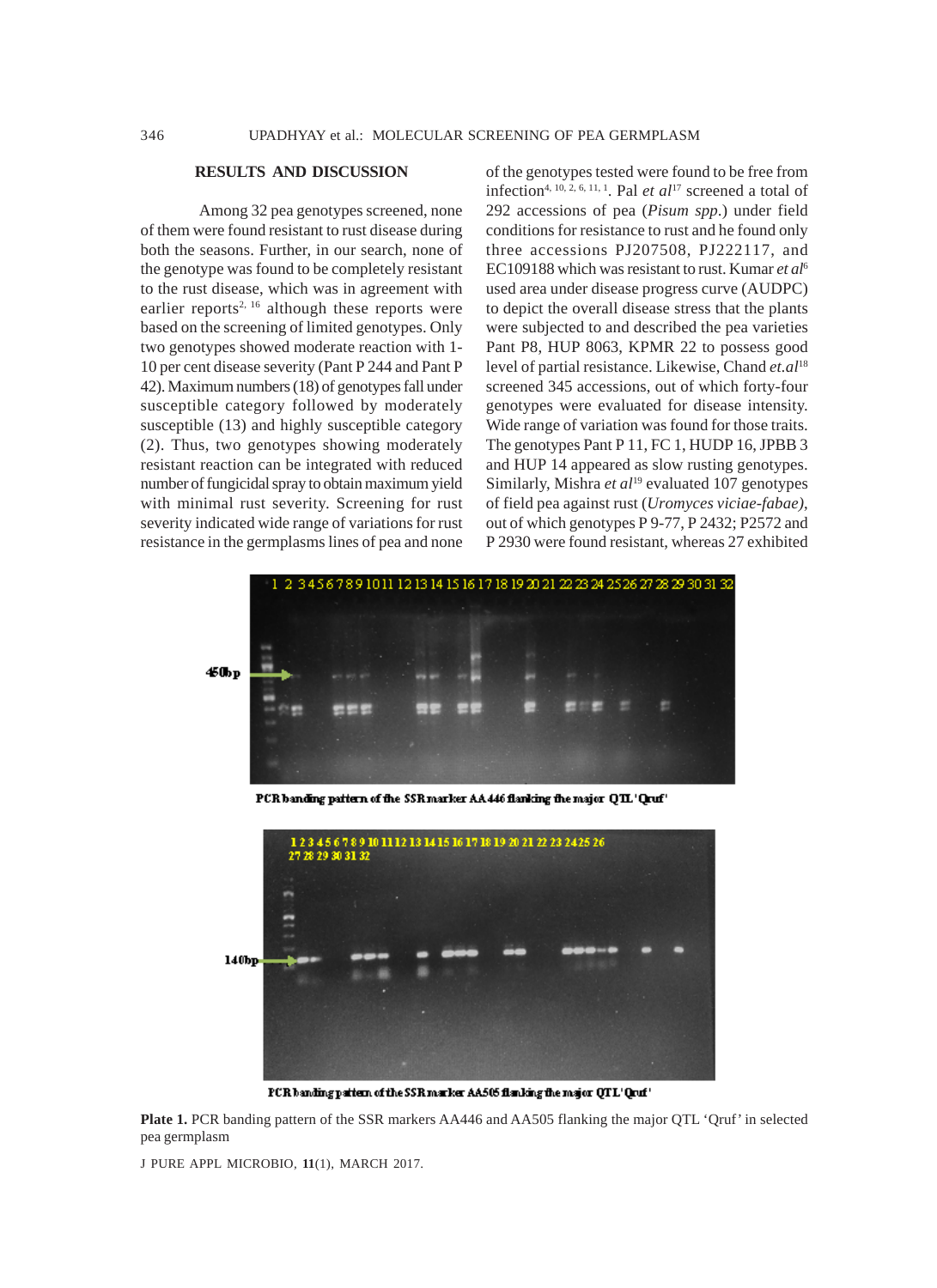## **RESULTS AND DISCUSSION**

Among 32 pea genotypes screened, none of them were found resistant to rust disease during both the seasons. Further, in our search, none of the genotype was found to be completely resistant to the rust disease, which was in agreement with earlier reports<sup>2, 16</sup> although these reports were based on the screening of limited genotypes. Only two genotypes showed moderate reaction with 1- 10 per cent disease severity (Pant P 244 and Pant P 42). Maximum numbers (18) of genotypes fall under susceptible category followed by moderately susceptible (13) and highly susceptible category (2). Thus, two genotypes showing moderately resistant reaction can be integrated with reduced number of fungicidal spray to obtain maximum yield with minimal rust severity. Screening for rust severity indicated wide range of variations for rust resistance in the germplasms lines of pea and none

of the genotypes tested were found to be free from infection<sup>4, 10, 2, 6, 11, 1</sup>. Pal *et al*<sup>17</sup> screened a total of 292 accessions of pea (*Pisum spp*.) under field conditions for resistance to rust and he found only three accessions PJ207508, PJ222117, and EC109188 which was resistant to rust. Kumar *et al*<sup>6</sup> used area under disease progress curve (AUDPC) to depict the overall disease stress that the plants were subjected to and described the pea varieties Pant P8, HUP 8063, KPMR 22 to possess good level of partial resistance. Likewise, Chand *et.al*<sup>18</sup> screened 345 accessions, out of which forty-four genotypes were evaluated for disease intensity. Wide range of variation was found for those traits. The genotypes Pant P 11, FC 1, HUDP 16, JPBB 3 and HUP 14 appeared as slow rusting genotypes. Similarly, Mishra *et al*<sup>19</sup> evaluated 107 genotypes of field pea against rust (*Uromyces viciae-fabae)*, out of which genotypes P 9-77, P 2432; P2572 and P 2930 were found resistant, whereas 27 exhibited



PCR banding pattern of the SSR marker AA 446 flanking the major QTL 'Qruf'



PCR banding pattern of the SSR marker AA505 flanking the major QTL' Qruf'

**Plate 1.** PCR banding pattern of the SSR markers AA446 and AA505 flanking the major QTL 'Qruf' in selected pea germplasm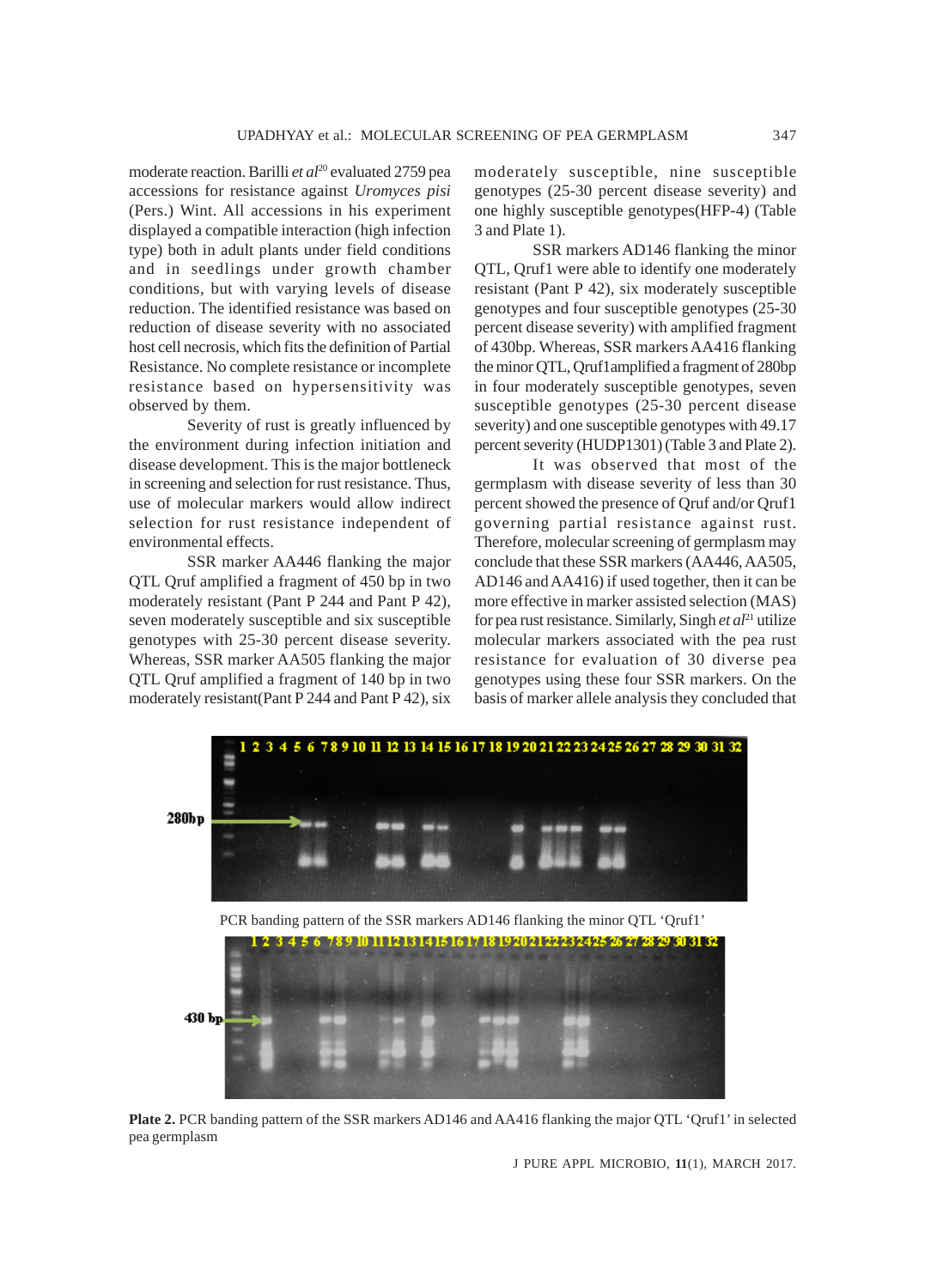moderate reaction. Barilli *et al*<sup>20</sup> evaluated 2759 pea accessions for resistance against *Uromyces pisi* (Pers.) Wint. All accessions in his experiment displayed a compatible interaction (high infection type) both in adult plants under field conditions and in seedlings under growth chamber conditions, but with varying levels of disease reduction. The identified resistance was based on reduction of disease severity with no associated host cell necrosis, which fits the definition of Partial Resistance. No complete resistance or incomplete resistance based on hypersensitivity was observed by them.

Severity of rust is greatly influenced by the environment during infection initiation and disease development. This is the major bottleneck in screening and selection for rust resistance. Thus, use of molecular markers would allow indirect selection for rust resistance independent of environmental effects.

SSR marker AA446 flanking the major QTL Qruf amplified a fragment of 450 bp in two moderately resistant (Pant P 244 and Pant P 42), seven moderately susceptible and six susceptible genotypes with 25-30 percent disease severity. Whereas, SSR marker AA505 flanking the major QTL Qruf amplified a fragment of 140 bp in two moderately resistant(Pant P 244 and Pant P 42), six moderately susceptible, nine susceptible genotypes (25-30 percent disease severity) and one highly susceptible genotypes(HFP-4) (Table 3 and Plate 1).

SSR markers AD146 flanking the minor QTL, Qruf1 were able to identify one moderately resistant (Pant P 42), six moderately susceptible genotypes and four susceptible genotypes (25-30 percent disease severity) with amplified fragment of 430bp. Whereas, SSR markers AA416 flanking the minor QTL, Qruf1amplified a fragment of 280bp in four moderately susceptible genotypes, seven susceptible genotypes (25-30 percent disease severity) and one susceptible genotypes with 49.17 percent severity (HUDP1301) (Table 3 and Plate 2).

It was observed that most of the germplasm with disease severity of less than 30 percent showed the presence of Qruf and/or Qruf1 governing partial resistance against rust. Therefore, molecular screening of germplasm may conclude that these SSR markers (AA446, AA505, AD146 and AA416) if used together, then it can be more effective in marker assisted selection (MAS) for pea rust resistance. Similarly, Singh *et al*21 utilize molecular markers associated with the pea rust resistance for evaluation of 30 diverse pea genotypes using these four SSR markers. On the basis of marker allele analysis they concluded that



**Plate 2.** PCR banding pattern of the SSR markers AD146 and AA416 flanking the major QTL 'Qruf1' in selected pea germplasm